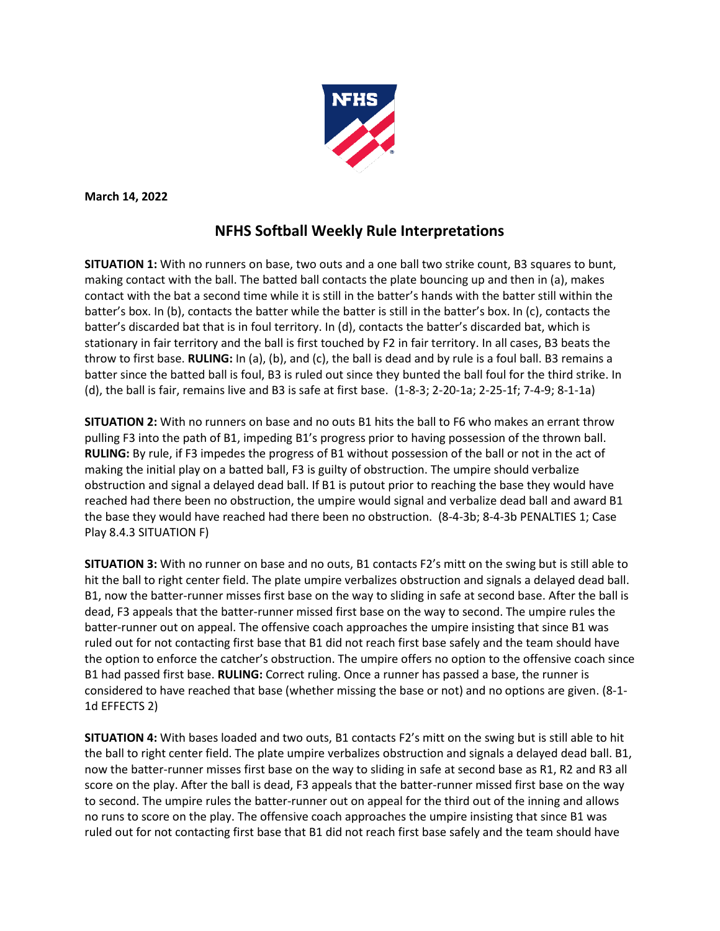

**March 14, 2022**

## **NFHS Softball Weekly Rule Interpretations**

**SITUATION 1:** With no runners on base, two outs and a one ball two strike count, B3 squares to bunt, making contact with the ball. The batted ball contacts the plate bouncing up and then in (a), makes contact with the bat a second time while it is still in the batter's hands with the batter still within the batter's box. In (b), contacts the batter while the batter is still in the batter's box. In (c), contacts the batter's discarded bat that is in foul territory. In (d), contacts the batter's discarded bat, which is stationary in fair territory and the ball is first touched by F2 in fair territory. In all cases, B3 beats the throw to first base. **RULING:** In (a), (b), and (c), the ball is dead and by rule is a foul ball. B3 remains a batter since the batted ball is foul, B3 is ruled out since they bunted the ball foul for the third strike. In (d), the ball is fair, remains live and B3 is safe at first base. (1-8-3; 2-20-1a; 2-25-1f; 7-4-9; 8-1-1a)

**SITUATION 2:** With no runners on base and no outs B1 hits the ball to F6 who makes an errant throw pulling F3 into the path of B1, impeding B1's progress prior to having possession of the thrown ball. **RULING:** By rule, if F3 impedes the progress of B1 without possession of the ball or not in the act of making the initial play on a batted ball, F3 is guilty of obstruction. The umpire should verbalize obstruction and signal a delayed dead ball. If B1 is putout prior to reaching the base they would have reached had there been no obstruction, the umpire would signal and verbalize dead ball and award B1 the base they would have reached had there been no obstruction. (8-4-3b; 8-4-3b PENALTIES 1; Case Play 8.4.3 SITUATION F)

**SITUATION 3:** With no runner on base and no outs, B1 contacts F2's mitt on the swing but is still able to hit the ball to right center field. The plate umpire verbalizes obstruction and signals a delayed dead ball. B1, now the batter-runner misses first base on the way to sliding in safe at second base. After the ball is dead, F3 appeals that the batter-runner missed first base on the way to second. The umpire rules the batter-runner out on appeal. The offensive coach approaches the umpire insisting that since B1 was ruled out for not contacting first base that B1 did not reach first base safely and the team should have the option to enforce the catcher's obstruction. The umpire offers no option to the offensive coach since B1 had passed first base. **RULING:** Correct ruling. Once a runner has passed a base, the runner is considered to have reached that base (whether missing the base or not) and no options are given. (8-1- 1d EFFECTS 2)

**SITUATION 4:** With bases loaded and two outs, B1 contacts F2's mitt on the swing but is still able to hit the ball to right center field. The plate umpire verbalizes obstruction and signals a delayed dead ball. B1, now the batter-runner misses first base on the way to sliding in safe at second base as R1, R2 and R3 all score on the play. After the ball is dead, F3 appeals that the batter-runner missed first base on the way to second. The umpire rules the batter-runner out on appeal for the third out of the inning and allows no runs to score on the play. The offensive coach approaches the umpire insisting that since B1 was ruled out for not contacting first base that B1 did not reach first base safely and the team should have